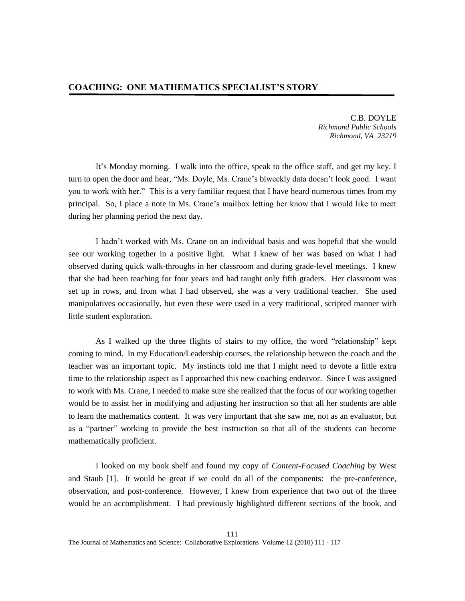C.B. DOYLE *Richmond Public Schools Richmond, VA 23219*

It's Monday morning. I walk into the office, speak to the office staff, and get my key. I turn to open the door and hear, "Ms. Doyle, Ms. Crane's biweekly data doesn't look good. I want you to work with her." This is a very familiar request that I have heard numerous times from my principal. So, I place a note in Ms. Crane's mailbox letting her know that I would like to meet during her planning period the next day.

I hadn't worked with Ms. Crane on an individual basis and was hopeful that she would see our working together in a positive light. What I knew of her was based on what I had observed during quick walk-throughs in her classroom and during grade-level meetings. I knew that she had been teaching for four years and had taught only fifth graders. Her classroom was set up in rows, and from what I had observed, she was a very traditional teacher. She used manipulatives occasionally, but even these were used in a very traditional, scripted manner with little student exploration.

As I walked up the three flights of stairs to my office, the word "relationship" kept coming to mind. In my Education/Leadership courses, the relationship between the coach and the teacher was an important topic. My instincts told me that I might need to devote a little extra time to the relationship aspect as I approached this new coaching endeavor. Since I was assigned to work with Ms. Crane, I needed to make sure she realized that the focus of our working together would be to assist her in modifying and adjusting her instruction so that all her students are able to learn the mathematics content. It was very important that she saw me, not as an evaluator, but as a "partner" working to provide the best instruction so that all of the students can become mathematically proficient.

I looked on my book shelf and found my copy of *Content-Focused Coaching* by West and Staub [1]. It would be great if we could do all of the components: the pre-conference, observation, and post-conference. However, I knew from experience that two out of the three would be an accomplishment. I had previously highlighted different sections of the book, and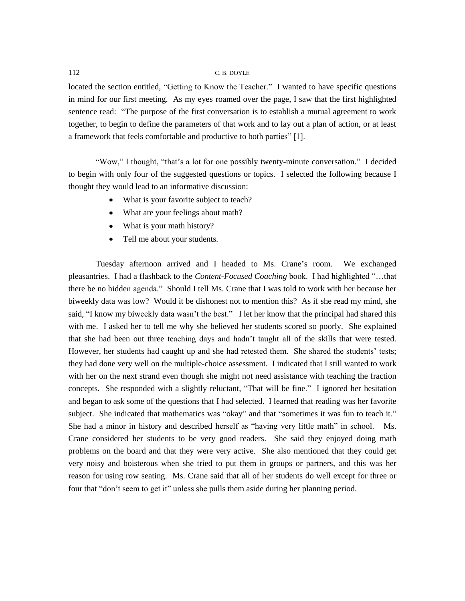# 112 C. B. DOYLE

located the section entitled, "Getting to Know the Teacher." I wanted to have specific questions in mind for our first meeting. As my eyes roamed over the page, I saw that the first highlighted sentence read: "The purpose of the first conversation is to establish a mutual agreement to work together, to begin to define the parameters of that work and to lay out a plan of action, or at least a framework that feels comfortable and productive to both parties" [1].

"Wow," I thought, "that's a lot for one possibly twenty-minute conversation." I decided to begin with only four of the suggested questions or topics. I selected the following because I thought they would lead to an informative discussion:

- What is your favorite subject to teach?
- What are your feelings about math?
- What is your math history?
- Tell me about your students.  $\bullet$  .

Tuesday afternoon arrived and I headed to Ms. Crane's room. We exchanged pleasantries. I had a flashback to the *Content-Focused Coaching* book. I had highlighted "…that there be no hidden agenda." Should I tell Ms. Crane that I was told to work with her because her biweekly data was low? Would it be dishonest not to mention this? As if she read my mind, she said, "I know my biweekly data wasn't the best." I let her know that the principal had shared this with me. I asked her to tell me why she believed her students scored so poorly. She explained that she had been out three teaching days and hadn't taught all of the skills that were tested. However, her students had caught up and she had retested them. She shared the students' tests; they had done very well on the multiple-choice assessment. I indicated that I still wanted to work with her on the next strand even though she might not need assistance with teaching the fraction concepts. She responded with a slightly reluctant, "That will be fine." I ignored her hesitation and began to ask some of the questions that I had selected. I learned that reading was her favorite subject. She indicated that mathematics was "okay" and that "sometimes it was fun to teach it." She had a minor in history and described herself as "having very little math" in school. Ms. Crane considered her students to be very good readers. She said they enjoyed doing math problems on the board and that they were very active. She also mentioned that they could get very noisy and boisterous when she tried to put them in groups or partners, and this was her reason for using row seating. Ms. Crane said that all of her students do well except for three or four that "don't seem to get it" unless she pulls them aside during her planning period.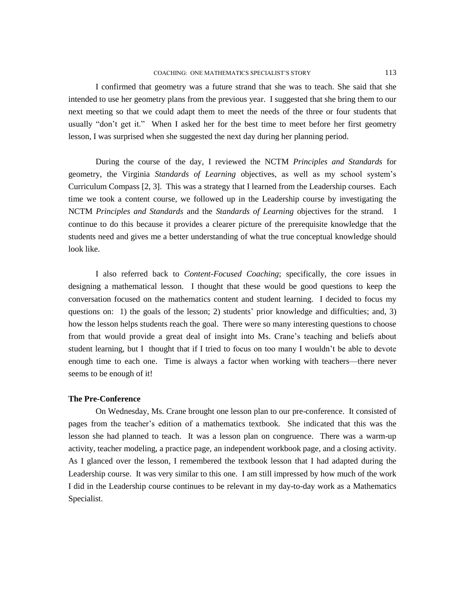I confirmed that geometry was a future strand that she was to teach. She said that she intended to use her geometry plans from the previous year. I suggested that she bring them to our next meeting so that we could adapt them to meet the needs of the three or four students that usually "don't get it." When I asked her for the best time to meet before her first geometry lesson, I was surprised when she suggested the next day during her planning period.

During the course of the day, I reviewed the NCTM *Principles and Standards* for geometry, the Virginia *Standards of Learning* objectives, as well as my school system's Curriculum Compass [2, 3]. This was a strategy that I learned from the Leadership courses. Each time we took a content course, we followed up in the Leadership course by investigating the NCTM *Principles and Standards* and the *Standards of Learning* objectives for the strand. I continue to do this because it provides a clearer picture of the prerequisite knowledge that the students need and gives me a better understanding of what the true conceptual knowledge should look like.

I also referred back to *Content-Focused Coaching*; specifically, the core issues in designing a mathematical lesson. I thought that these would be good questions to keep the conversation focused on the mathematics content and student learning. I decided to focus my questions on: 1) the goals of the lesson; 2) students' prior knowledge and difficulties; and, 3) how the lesson helps students reach the goal. There were so many interesting questions to choose from that would provide a great deal of insight into Ms. Crane's teaching and beliefs about student learning, but I thought that if I tried to focus on too many I wouldn't be able to devote enough time to each one. Time is always a factor when working with teachers—there never seems to be enough of it!

## **The Pre-Conference**

On Wednesday, Ms. Crane brought one lesson plan to our pre-conference. It consisted of pages from the teacher's edition of a mathematics textbook. She indicated that this was the lesson she had planned to teach. It was a lesson plan on congruence. There was a warm-up activity, teacher modeling, a practice page, an independent workbook page, and a closing activity. As I glanced over the lesson, I remembered the textbook lesson that I had adapted during the Leadership course. It was very similar to this one. I am still impressed by how much of the work I did in the Leadership course continues to be relevant in my day-to-day work as a Mathematics Specialist.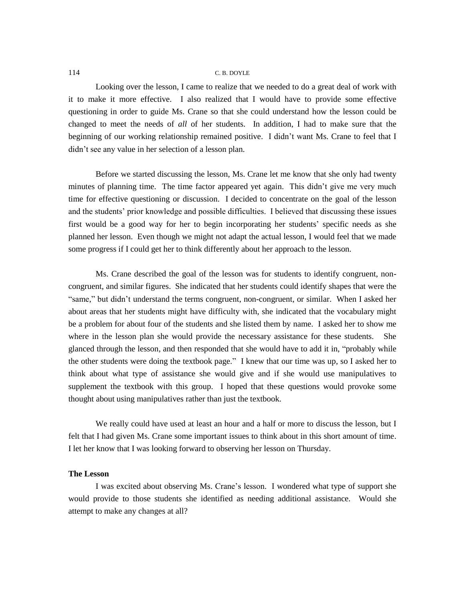# 114 C. B. DOYLE

Looking over the lesson, I came to realize that we needed to do a great deal of work with it to make it more effective. I also realized that I would have to provide some effective questioning in order to guide Ms. Crane so that she could understand how the lesson could be changed to meet the needs of *all* of her students. In addition, I had to make sure that the beginning of our working relationship remained positive. I didn't want Ms. Crane to feel that I didn't see any value in her selection of a lesson plan.

Before we started discussing the lesson, Ms. Crane let me know that she only had twenty minutes of planning time. The time factor appeared yet again. This didn't give me very much time for effective questioning or discussion. I decided to concentrate on the goal of the lesson and the students' prior knowledge and possible difficulties. I believed that discussing these issues first would be a good way for her to begin incorporating her students' specific needs as she planned her lesson. Even though we might not adapt the actual lesson, I would feel that we made some progress if I could get her to think differently about her approach to the lesson.

Ms. Crane described the goal of the lesson was for students to identify congruent, noncongruent, and similar figures. She indicated that her students could identify shapes that were the "same," but didn't understand the terms congruent, non-congruent, or similar. When I asked her about areas that her students might have difficulty with, she indicated that the vocabulary might be a problem for about four of the students and she listed them by name. I asked her to show me where in the lesson plan she would provide the necessary assistance for these students. She glanced through the lesson, and then responded that she would have to add it in, "probably while the other students were doing the textbook page." I knew that our time was up, so I asked her to think about what type of assistance she would give and if she would use manipulatives to supplement the textbook with this group. I hoped that these questions would provoke some thought about using manipulatives rather than just the textbook.

We really could have used at least an hour and a half or more to discuss the lesson, but I felt that I had given Ms. Crane some important issues to think about in this short amount of time. I let her know that I was looking forward to observing her lesson on Thursday.

## **The Lesson**

I was excited about observing Ms. Crane's lesson. I wondered what type of support she would provide to those students she identified as needing additional assistance. Would she attempt to make any changes at all?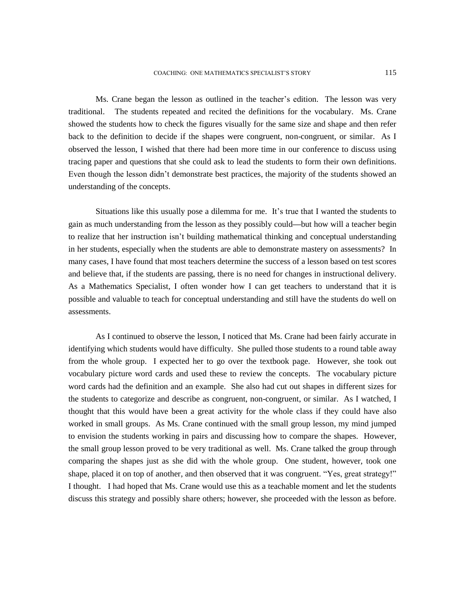Ms. Crane began the lesson as outlined in the teacher's edition. The lesson was very traditional. The students repeated and recited the definitions for the vocabulary. Ms. Crane showed the students how to check the figures visually for the same size and shape and then refer back to the definition to decide if the shapes were congruent, non-congruent, or similar. As I observed the lesson, I wished that there had been more time in our conference to discuss using tracing paper and questions that she could ask to lead the students to form their own definitions. Even though the lesson didn't demonstrate best practices, the majority of the students showed an understanding of the concepts.

Situations like this usually pose a dilemma for me. It's true that I wanted the students to gain as much understanding from the lesson as they possibly could**—**but how will a teacher begin to realize that her instruction isn't building mathematical thinking and conceptual understanding in her students, especially when the students are able to demonstrate mastery on assessments? In many cases, I have found that most teachers determine the success of a lesson based on test scores and believe that, if the students are passing, there is no need for changes in instructional delivery. As a Mathematics Specialist, I often wonder how I can get teachers to understand that it is possible and valuable to teach for conceptual understanding and still have the students do well on assessments.

As I continued to observe the lesson, I noticed that Ms. Crane had been fairly accurate in identifying which students would have difficulty. She pulled those students to a round table away from the whole group. I expected her to go over the textbook page. However, she took out vocabulary picture word cards and used these to review the concepts. The vocabulary picture word cards had the definition and an example. She also had cut out shapes in different sizes for the students to categorize and describe as congruent, non-congruent, or similar. As I watched, I thought that this would have been a great activity for the whole class if they could have also worked in small groups. As Ms. Crane continued with the small group lesson, my mind jumped to envision the students working in pairs and discussing how to compare the shapes. However, the small group lesson proved to be very traditional as well. Ms. Crane talked the group through comparing the shapes just as she did with the whole group. One student, however, took one shape, placed it on top of another, and then observed that it was congruent. "Yes, great strategy!" I thought. I had hoped that Ms. Crane would use this as a teachable moment and let the students discuss this strategy and possibly share others; however, she proceeded with the lesson as before.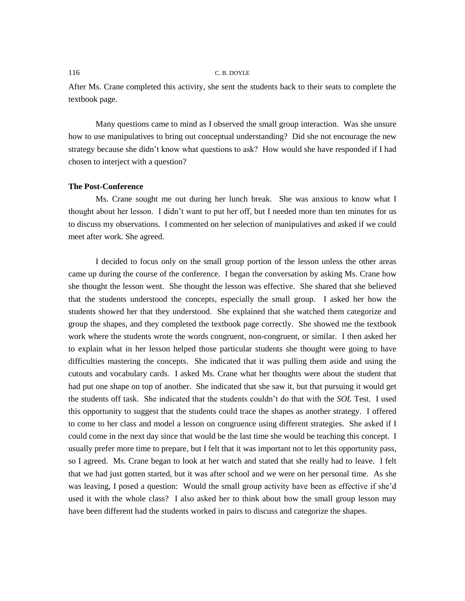### 116 C. B. DOYLE

After Ms. Crane completed this activity, she sent the students back to their seats to complete the textbook page.

Many questions came to mind as I observed the small group interaction. Was she unsure how to use manipulatives to bring out conceptual understanding? Did she not encourage the new strategy because she didn't know what questions to ask? How would she have responded if I had chosen to interject with a question?

# **The Post-Conference**

Ms. Crane sought me out during her lunch break. She was anxious to know what I thought about her lesson. I didn't want to put her off, but I needed more than ten minutes for us to discuss my observations. I commented on her selection of manipulatives and asked if we could meet after work. She agreed.

I decided to focus only on the small group portion of the lesson unless the other areas came up during the course of the conference. I began the conversation by asking Ms. Crane how she thought the lesson went. She thought the lesson was effective. She shared that she believed that the students understood the concepts, especially the small group. I asked her how the students showed her that they understood. She explained that she watched them categorize and group the shapes, and they completed the textbook page correctly. She showed me the textbook work where the students wrote the words congruent, non-congruent, or similar. I then asked her to explain what in her lesson helped those particular students she thought were going to have difficulties mastering the concepts. She indicated that it was pulling them aside and using the cutouts and vocabulary cards. I asked Ms. Crane what her thoughts were about the student that had put one shape on top of another. She indicated that she saw it, but that pursuing it would get the students off task. She indicated that the students couldn't do that with the *SOL* Test. I used this opportunity to suggest that the students could trace the shapes as another strategy. I offered to come to her class and model a lesson on congruence using different strategies. She asked if I could come in the next day since that would be the last time she would be teaching this concept. I usually prefer more time to prepare, but I felt that it was important not to let this opportunity pass, so I agreed. Ms. Crane began to look at her watch and stated that she really had to leave. I felt that we had just gotten started, but it was after school and we were on her personal time. As she was leaving, I posed a question: Would the small group activity have been as effective if she'd used it with the whole class? I also asked her to think about how the small group lesson may have been different had the students worked in pairs to discuss and categorize the shapes.